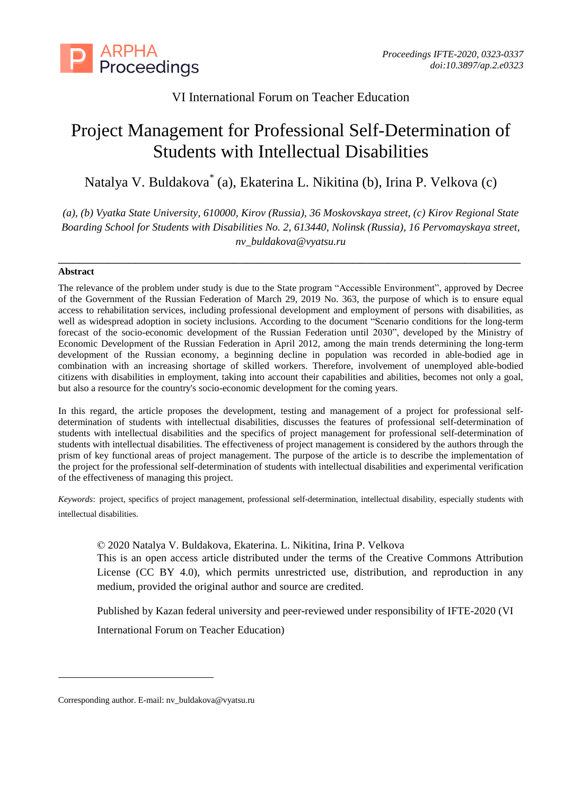

# VI International Forum on Teacher Education

# Project Management for Professional Self-Determination of Students with Intellectual Disabilities

Natalya V. Buldakova\* (a), Ekaterina L. Nikitina (b), Irina P. Velkova (c)

*(a), (b) Vyatka State University, 610000, Kirov (Russia), 36 Moskovskaya street, (c) Kirov Regional State Boarding School for Students with Disabilities No. 2, 613440, Nolinsk (Russia), 16 Pervomayskaya street, [nv\\_buldakova@vyatsu.ru](mailto:nv_buldakova@vyatsu.ru)*

*\_\_\_\_\_\_\_\_\_\_\_\_\_\_\_\_\_\_\_\_\_\_\_\_\_\_\_\_\_\_\_\_\_\_\_\_\_\_\_\_\_\_\_\_\_\_\_\_\_\_\_\_\_\_\_\_\_\_\_\_\_\_\_\_\_\_*

#### **Abstract**

-

The relevance of the problem under study is due to the State program "Accessible Environment", approved by Decree of the Government of the Russian Federation of March 29, 2019 No. 363, the purpose of which is to ensure equal access to rehabilitation services, including professional development and employment of persons with disabilities, as well as widespread adoption in society inclusions. According to the document "Scenario conditions for the long-term forecast of the socio-economic development of the Russian Federation until 2030", developed by the Ministry of Economic Development of the Russian Federation in April 2012, among the main trends determining the long-term development of the Russian economy, a beginning decline in population was recorded in able-bodied age in combination with an increasing shortage of skilled workers. Therefore, involvement of unemployed able-bodied citizens with disabilities in employment, taking into account their capabilities and abilities, becomes not only a goal, but also a resource for the country's socio-economic development for the coming years.

In this regard, the article proposes the development, testing and management of a project for professional selfdetermination of students with intellectual disabilities, discusses the features of professional self-determination of students with intellectual disabilities and the specifics of project management for professional self-determination of students with intellectual disabilities. The effectiveness of project management is considered by the authors through the prism of key functional areas of project management. The purpose of the article is to describe the implementation of the project for the professional self-determination of students with intellectual disabilities and experimental verification of the effectiveness of managing this project.

*Keywords*: project, specifics of project management, professional self-determination, intellectual disability, especially students with intellectual disabilities.

© 2020 Natalya V. Buldakova, Ekaterina. L. Nikitina, Irina P. Velkova

This is an open access article distributed under the terms of the Creative Commons Attribution License (CC BY 4.0), which permits unrestricted use, distribution, and reproduction in any medium, provided the original author and source are credited.

Published by Kazan federal university and peer-reviewed under responsibility of IFTE-2020 (VI

International Forum on Teacher Education)

Corresponding author. E-mail: nv\_buldakova@vyatsu.ru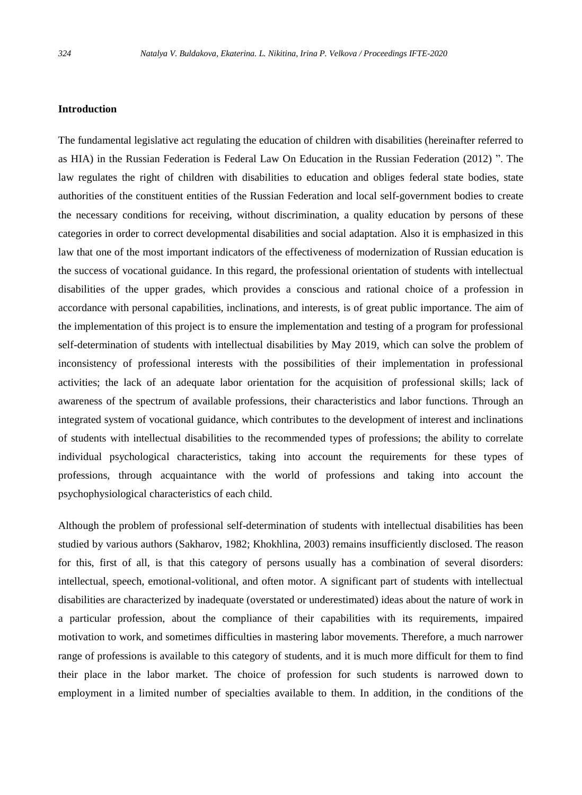#### **Introduction**

The fundamental legislative act regulating the education of children with disabilities (hereinafter referred to as HIA) in the Russian Federation is Federal Law On Education in the Russian Federation (2012) ". The law regulates the right of children with disabilities to education and obliges federal state bodies, state authorities of the constituent entities of the Russian Federation and local self-government bodies to create the necessary conditions for receiving, without discrimination, a quality education by persons of these categories in order to correct developmental disabilities and social adaptation. Also it is emphasized in this law that one of the most important indicators of the effectiveness of modernization of Russian education is the success of vocational guidance. In this regard, the professional orientation of students with intellectual disabilities of the upper grades, which provides a conscious and rational choice of a profession in accordance with personal capabilities, inclinations, and interests, is of great public importance. The aim of the implementation of this project is to ensure the implementation and testing of a program for professional self-determination of students with intellectual disabilities by May 2019, which can solve the problem of inconsistency of professional interests with the possibilities of their implementation in professional activities; the lack of an adequate labor orientation for the acquisition of professional skills; lack of awareness of the spectrum of available professions, their characteristics and labor functions. Through an integrated system of vocational guidance, which contributes to the development of interest and inclinations of students with intellectual disabilities to the recommended types of professions; the ability to correlate individual psychological characteristics, taking into account the requirements for these types of professions, through acquaintance with the world of professions and taking into account the psychophysiological characteristics of each child.

Although the problem of professional self-determination of students with intellectual disabilities has been studied by various authors (Sakharov, 1982; Khokhlina, 2003) remains insufficiently disclosed. The reason for this, first of all, is that this category of persons usually has a combination of several disorders: intellectual, speech, emotional-volitional, and often motor. A significant part of students with intellectual disabilities are characterized by inadequate (overstated or underestimated) ideas about the nature of work in a particular profession, about the compliance of their capabilities with its requirements, impaired motivation to work, and sometimes difficulties in mastering labor movements. Therefore, a much narrower range of professions is available to this category of students, and it is much more difficult for them to find their place in the labor market. The choice of profession for such students is narrowed down to employment in a limited number of specialties available to them. In addition, in the conditions of the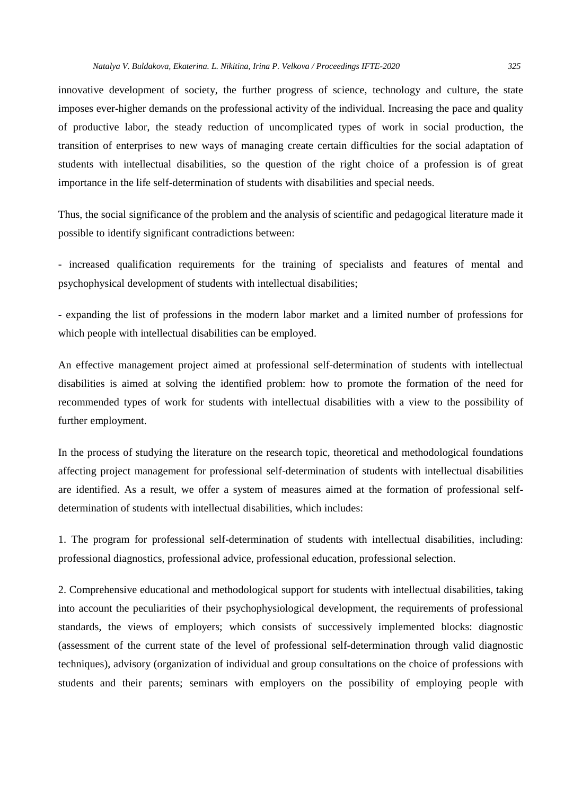innovative development of society, the further progress of science, technology and culture, the state imposes ever-higher demands on the professional activity of the individual. Increasing the pace and quality of productive labor, the steady reduction of uncomplicated types of work in social production, the transition of enterprises to new ways of managing create certain difficulties for the social adaptation of students with intellectual disabilities, so the question of the right choice of a profession is of great importance in the life self-determination of students with disabilities and special needs.

Thus, the social significance of the problem and the analysis of scientific and pedagogical literature made it possible to identify significant contradictions between:

- increased qualification requirements for the training of specialists and features of mental and psychophysical development of students with intellectual disabilities;

- expanding the list of professions in the modern labor market and a limited number of professions for which people with intellectual disabilities can be employed.

An effective management project aimed at professional self-determination of students with intellectual disabilities is aimed at solving the identified problem: how to promote the formation of the need for recommended types of work for students with intellectual disabilities with a view to the possibility of further employment.

In the process of studying the literature on the research topic, theoretical and methodological foundations affecting project management for professional self-determination of students with intellectual disabilities are identified. As a result, we offer a system of measures aimed at the formation of professional selfdetermination of students with intellectual disabilities, which includes:

1. The program for professional self-determination of students with intellectual disabilities, including: professional diagnostics, professional advice, professional education, professional selection.

2. Comprehensive educational and methodological support for students with intellectual disabilities, taking into account the peculiarities of their psychophysiological development, the requirements of professional standards, the views of employers; which consists of successively implemented blocks: diagnostic (assessment of the current state of the level of professional self-determination through valid diagnostic techniques), advisory (organization of individual and group consultations on the choice of professions with students and their parents; seminars with employers on the possibility of employing people with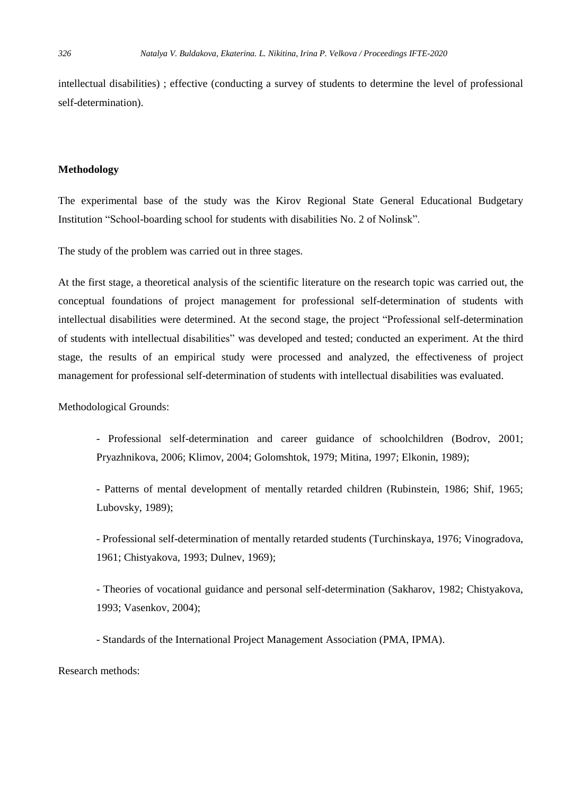intellectual disabilities) ; effective (conducting a survey of students to determine the level of professional self-determination).

#### **Methodology**

The experimental base of the study was the Kirov Regional State General Educational Budgetary Institution "School-boarding school for students with disabilities No. 2 of Nolinsk".

The study of the problem was carried out in three stages.

At the first stage, a theoretical analysis of the scientific literature on the research topic was carried out, the conceptual foundations of project management for professional self-determination of students with intellectual disabilities were determined. At the second stage, the project "Professional self-determination of students with intellectual disabilities" was developed and tested; conducted an experiment. At the third stage, the results of an empirical study were processed and analyzed, the effectiveness of project management for professional self-determination of students with intellectual disabilities was evaluated.

Methodological Grounds:

- Professional self-determination and career guidance of schoolchildren (Bodrov, 2001; Pryazhnikovа, 2006; Klimov, 2004; Golomshtok, 1979; Mitina, 1997; Elkonin, 1989);
- Patterns of mental development of mentally retarded children (Rubinstein, 1986; Shif, 1965; Lubovsky, 1989);
- Professional self-determination of mentally retarded students (Turchinskaya, 1976; Vinogradova, 1961; Chistyakova, 1993; Dulnev, 1969);
- Theories of vocational guidance and personal self-determination (Sakharov, 1982; Chistyakova, 1993; Vasenkov, 2004);
- Standards of the International Project Management Association (PMA, IPMA).

Research methods: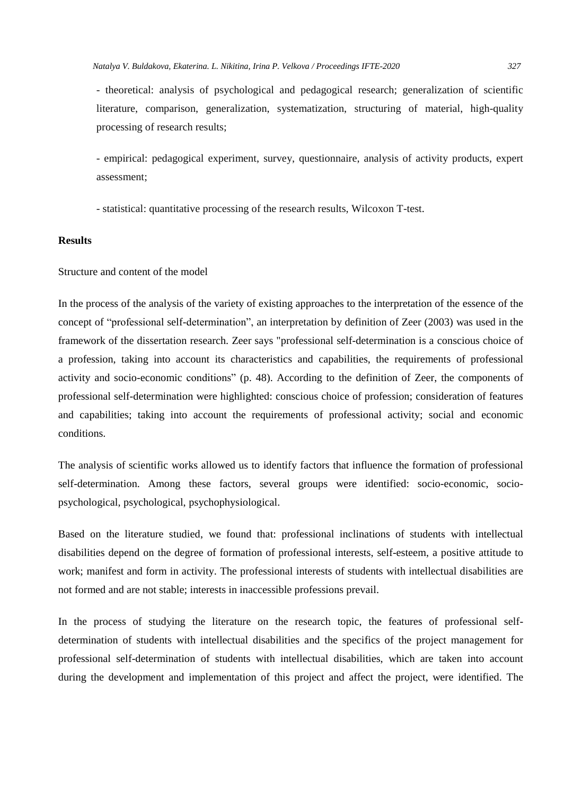- theoretical: analysis of psychological and pedagogical research; generalization of scientific literature, comparison, generalization, systematization, structuring of material, high-quality processing of research results;

- empirical: pedagogical experiment, survey, questionnaire, analysis of activity products, expert assessment;

- statistical: quantitative processing of the research results, Wilcoxon T-test.

# **Results**

Structure and content of the model

In the process of the analysis of the variety of existing approaches to the interpretation of the essence of the concept of "professional self-determination", an interpretation by definition of Zeer (2003) was used in the framework of the dissertation research. Zeer says "professional self-determination is a conscious choice of a profession, taking into account its characteristics and capabilities, the requirements of professional activity and socio-economic conditions" (p. 48). According to the definition of Zeer, the components of professional self-determination were highlighted: conscious choice of profession; consideration of features and capabilities; taking into account the requirements of professional activity; social and economic conditions.

The analysis of scientific works allowed us to identify factors that influence the formation of professional self-determination. Among these factors, several groups were identified: socio-economic, sociopsychological, psychological, psychophysiological.

Based on the literature studied, we found that: professional inclinations of students with intellectual disabilities depend on the degree of formation of professional interests, self-esteem, a positive attitude to work; manifest and form in activity. The professional interests of students with intellectual disabilities are not formed and are not stable; interests in inaccessible professions prevail.

In the process of studying the literature on the research topic, the features of professional selfdetermination of students with intellectual disabilities and the specifics of the project management for professional self-determination of students with intellectual disabilities, which are taken into account during the development and implementation of this project and affect the project, were identified. The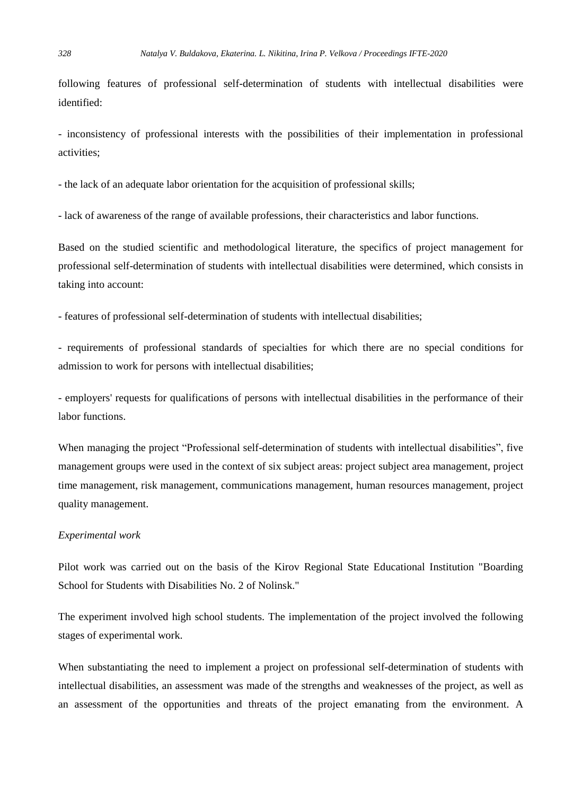following features of professional self-determination of students with intellectual disabilities were identified:

- inconsistency of professional interests with the possibilities of their implementation in professional activities;

- the lack of an adequate labor orientation for the acquisition of professional skills;

- lack of awareness of the range of available professions, their characteristics and labor functions.

Based on the studied scientific and methodological literature, the specifics of project management for professional self-determination of students with intellectual disabilities were determined, which consists in taking into account:

- features of professional self-determination of students with intellectual disabilities;

- requirements of professional standards of specialties for which there are no special conditions for admission to work for persons with intellectual disabilities;

- employers' requests for qualifications of persons with intellectual disabilities in the performance of their labor functions.

When managing the project "Professional self-determination of students with intellectual disabilities", five management groups were used in the context of six subject areas: project subject area management, project time management, risk management, communications management, human resources management, project quality management.

### *Experimental work*

Pilot work was carried out on the basis of the Kirov Regional State Educational Institution "Boarding School for Students with Disabilities No. 2 of Nolinsk."

The experiment involved high school students. The implementation of the project involved the following stages of experimental work.

When substantiating the need to implement a project on professional self-determination of students with intellectual disabilities, an assessment was made of the strengths and weaknesses of the project, as well as an assessment of the opportunities and threats of the project emanating from the environment. A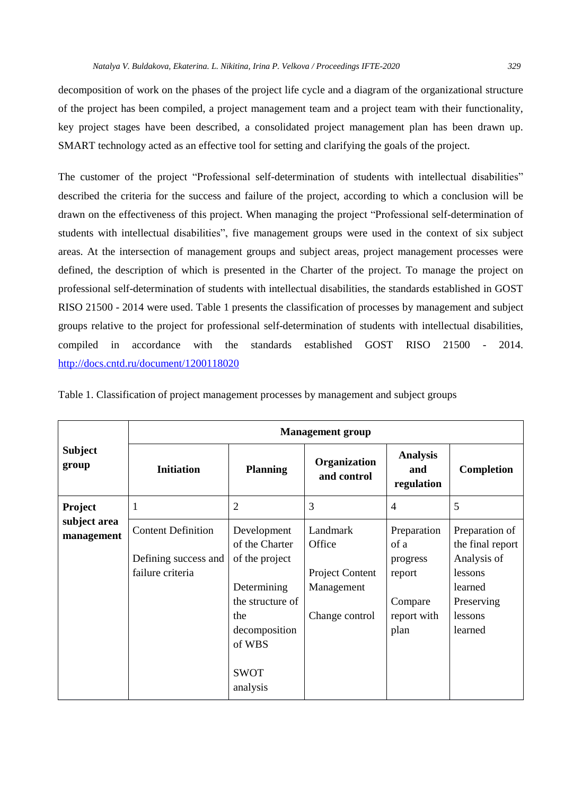decomposition of work on the phases of the project life cycle and a diagram of the organizational structure of the project has been compiled, a project management team and a project team with their functionality, key project stages have been described, a consolidated project management plan has been drawn up. SMART technology acted as an effective tool for setting and clarifying the goals of the project.

The customer of the project "Professional self-determination of students with intellectual disabilities" described the criteria for the success and failure of the project, according to which a conclusion will be drawn on the effectiveness of this project. When managing the project "Professional self-determination of students with intellectual disabilities", five management groups were used in the context of six subject areas. At the intersection of management groups and subject areas, project management processes were defined, the description of which is presented in the Charter of the project. To manage the project on professional self-determination of students with intellectual disabilities, the standards established in GOST RISO 21500 - 2014 were used. Table 1 presents the classification of processes by management and subject groups relative to the project for professional self-determination of students with intellectual disabilities, compiled in accordance with the standards established GOST RISO 21500 - 2014. <http://docs.cntd.ru/document/1200118020>

| <b>Subject</b><br>group                      | <b>Management</b> group                  |                                                                                                                |                                                 |                                                      |                                                                       |  |  |
|----------------------------------------------|------------------------------------------|----------------------------------------------------------------------------------------------------------------|-------------------------------------------------|------------------------------------------------------|-----------------------------------------------------------------------|--|--|
|                                              | <b>Initiation</b>                        | <b>Planning</b>                                                                                                | Organization<br>and control                     | <b>Analysis</b><br>and<br>regulation                 | Completion                                                            |  |  |
| <b>Project</b><br>subject area<br>management | 1                                        | $\overline{2}$                                                                                                 | 3                                               | $\overline{4}$                                       | 5                                                                     |  |  |
|                                              | <b>Content Definition</b>                | Development<br>of the Charter                                                                                  | Landmark<br>Office                              | Preparation<br>of a                                  | Preparation of<br>the final report                                    |  |  |
|                                              | Defining success and<br>failure criteria | of the project<br>Determining<br>the structure of<br>the<br>decomposition<br>of WBS<br><b>SWOT</b><br>analysis | Project Content<br>Management<br>Change control | progress<br>report<br>Compare<br>report with<br>plan | Analysis of<br>lessons<br>learned<br>Preserving<br>lessons<br>learned |  |  |

Table 1. Classification of project management processes by management and subject groups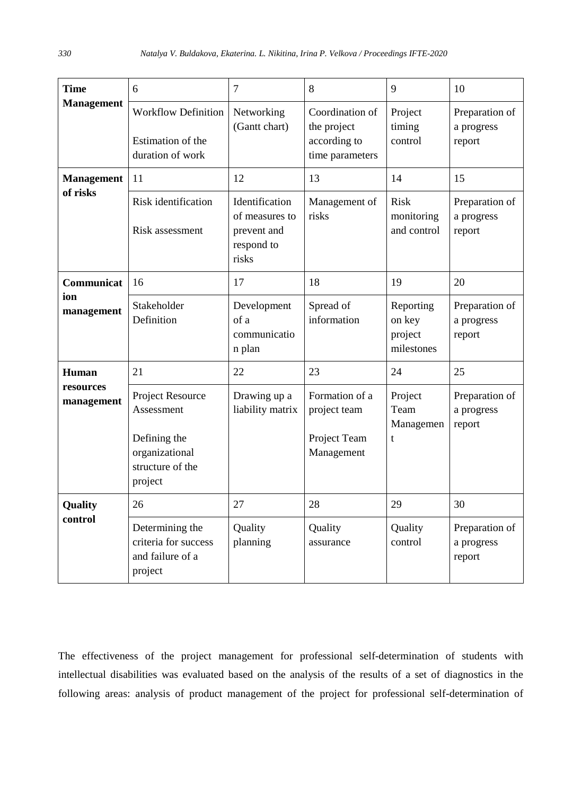| <b>Time</b>                      | 6                                                                                               | $\overline{7}$                                                         | 8                                                                 | 9                                            | 10                                     |
|----------------------------------|-------------------------------------------------------------------------------------------------|------------------------------------------------------------------------|-------------------------------------------------------------------|----------------------------------------------|----------------------------------------|
| <b>Management</b>                | Workflow Definition<br>Estimation of the<br>duration of work                                    | Networking<br>(Gantt chart)                                            | Coordination of<br>the project<br>according to<br>time parameters | Project<br>timing<br>control                 | Preparation of<br>a progress<br>report |
| <b>Management</b><br>of risks    | 11                                                                                              | 12                                                                     | 13                                                                | 14                                           | 15                                     |
|                                  | Risk identification<br>Risk assessment                                                          | Identification<br>of measures to<br>prevent and<br>respond to<br>risks | Management of<br>risks                                            | <b>Risk</b><br>monitoring<br>and control     | Preparation of<br>a progress<br>report |
| Communicat<br>ion<br>management  | 16                                                                                              | 17                                                                     | 18                                                                | 19                                           | 20                                     |
|                                  | Stakeholder<br>Definition                                                                       | Development<br>of a<br>communicatio<br>n plan                          | Spread of<br>information                                          | Reporting<br>on key<br>project<br>milestones | Preparation of<br>a progress<br>report |
| Human<br>resources<br>management | 21                                                                                              | 22                                                                     | 23                                                                | 24                                           | 25                                     |
|                                  | Project Resource<br>Assessment<br>Defining the<br>organizational<br>structure of the<br>project | Drawing up a<br>liability matrix                                       | Formation of a<br>project team<br>Project Team<br>Management      | Project<br>Team<br>Managemen<br>$\mathbf{t}$ | Preparation of<br>a progress<br>report |
| Quality<br>control               | 26                                                                                              | 27                                                                     | 28                                                                | 29                                           | 30                                     |
|                                  | Determining the<br>criteria for success<br>and failure of a<br>project                          | Quality<br>planning                                                    | Quality<br>assurance                                              | Quality<br>control                           | Preparation of<br>a progress<br>report |

The effectiveness of the project management for professional self-determination of students with intellectual disabilities was evaluated based on the analysis of the results of a set of diagnostics in the following areas: analysis of product management of the project for professional self-determination of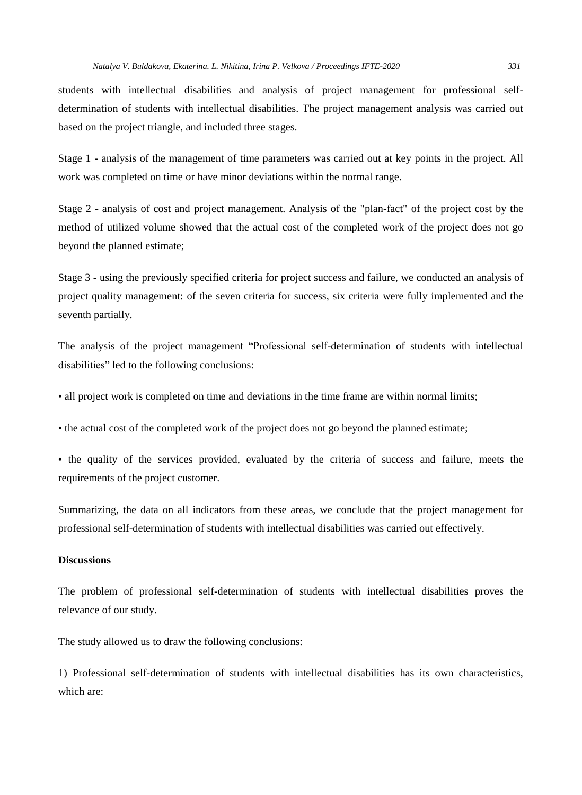students with intellectual disabilities and analysis of project management for professional selfdetermination of students with intellectual disabilities. The project management analysis was carried out based on the project triangle, and included three stages.

Stage 1 - analysis of the management of time parameters was carried out at key points in the project. All work was completed on time or have minor deviations within the normal range.

Stage 2 - analysis of cost and project management. Analysis of the "plan-fact" of the project cost by the method of utilized volume showed that the actual cost of the completed work of the project does not go beyond the planned estimate;

Stage 3 - using the previously specified criteria for project success and failure, we conducted an analysis of project quality management: of the seven criteria for success, six criteria were fully implemented and the seventh partially.

The analysis of the project management "Professional self-determination of students with intellectual disabilities" led to the following conclusions:

• all project work is completed on time and deviations in the time frame are within normal limits;

• the actual cost of the completed work of the project does not go beyond the planned estimate;

• the quality of the services provided, evaluated by the criteria of success and failure, meets the requirements of the project customer.

Summarizing, the data on all indicators from these areas, we conclude that the project management for professional self-determination of students with intellectual disabilities was carried out effectively.

# **Discussions**

The problem of professional self-determination of students with intellectual disabilities proves the relevance of our study.

The study allowed us to draw the following conclusions:

1) Professional self-determination of students with intellectual disabilities has its own characteristics, which are: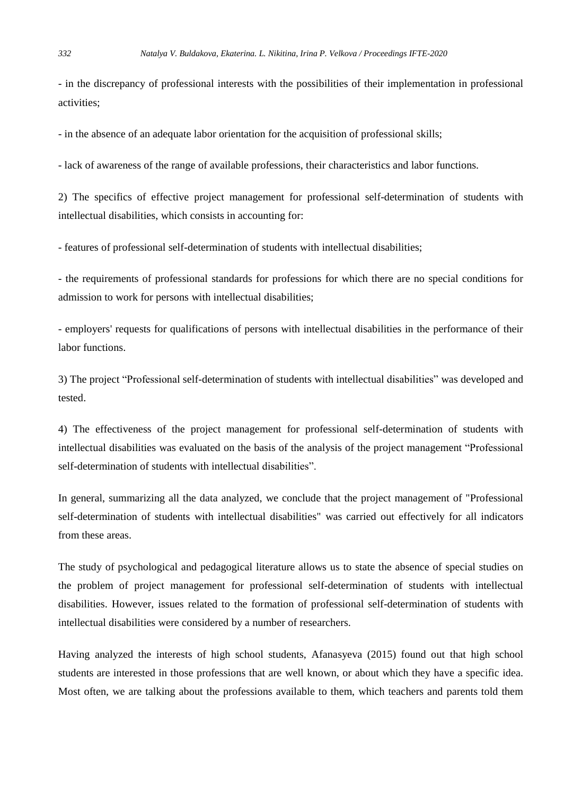- in the discrepancy of professional interests with the possibilities of their implementation in professional activities;

- in the absence of an adequate labor orientation for the acquisition of professional skills;

- lack of awareness of the range of available professions, their characteristics and labor functions.

2) The specifics of effective project management for professional self-determination of students with intellectual disabilities, which consists in accounting for:

- features of professional self-determination of students with intellectual disabilities;

- the requirements of professional standards for professions for which there are no special conditions for admission to work for persons with intellectual disabilities;

- employers' requests for qualifications of persons with intellectual disabilities in the performance of their labor functions.

3) The project "Professional self-determination of students with intellectual disabilities" was developed and tested.

4) The effectiveness of the project management for professional self-determination of students with intellectual disabilities was evaluated on the basis of the analysis of the project management "Professional self-determination of students with intellectual disabilities".

In general, summarizing all the data analyzed, we conclude that the project management of "Professional self-determination of students with intellectual disabilities" was carried out effectively for all indicators from these areas.

The study of psychological and pedagogical literature allows us to state the absence of special studies on the problem of project management for professional self-determination of students with intellectual disabilities. However, issues related to the formation of professional self-determination of students with intellectual disabilities were considered by a number of researchers.

Having analyzed the interests of high school students, Afanasyeva (2015) found out that high school students are interested in those professions that are well known, or about which they have a specific idea. Most often, we are talking about the professions available to them, which teachers and parents told them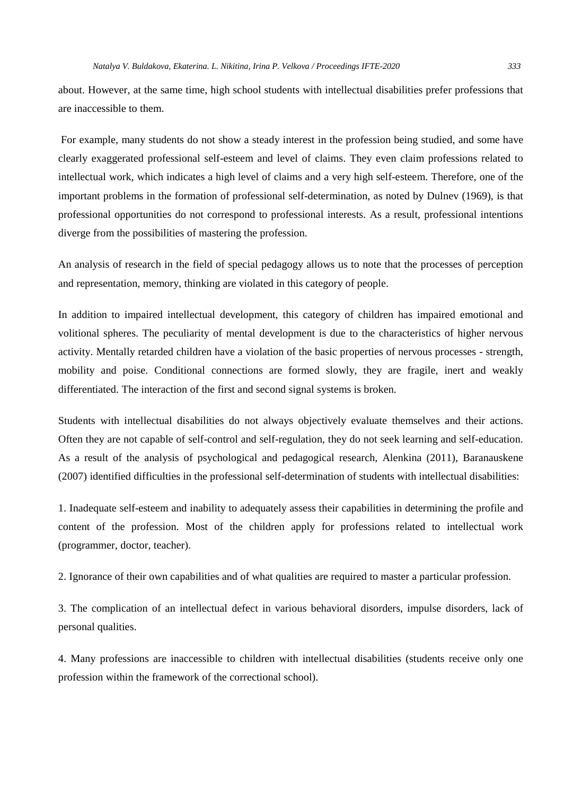about. However, at the same time, high school students with intellectual disabilities prefer professions that are inaccessible to them.

For example, many students do not show a steady interest in the profession being studied, and some have clearly exaggerated professional self-esteem and level of claims. They even claim professions related to intellectual work, which indicates a high level of claims and a very high self-esteem. Therefore, one of the important problems in the formation of professional self-determination, as noted by Dulnev (1969), is that professional opportunities do not correspond to professional interests. As a result, professional intentions diverge from the possibilities of mastering the profession.

An analysis of research in the field of special pedagogy allows us to note that the processes of perception and representation, memory, thinking are violated in this category of people.

In addition to impaired intellectual development, this category of children has impaired emotional and volitional spheres. The peculiarity of mental development is due to the characteristics of higher nervous activity. Mentally retarded children have a violation of the basic properties of nervous processes - strength, mobility and poise. Conditional connections are formed slowly, they are fragile, inert and weakly differentiated. The interaction of the first and second signal systems is broken.

Students with intellectual disabilities do not always objectively evaluate themselves and their actions. Often they are not capable of self-control and self-regulation, they do not seek learning and self-education. As a result of the analysis of psychological and pedagogical research, Alenkina (2011), Baranauskene (2007) identified difficulties in the professional self-determination of students with intellectual disabilities:

1. Inadequate self-esteem and inability to adequately assess their capabilities in determining the profile and content of the profession. Most of the children apply for professions related to intellectual work (programmer, doctor, teacher).

2. Ignorance of their own capabilities and of what qualities are required to master a particular profession.

3. The complication of an intellectual defect in various behavioral disorders, impulse disorders, lack of personal qualities.

4. Many professions are inaccessible to children with intellectual disabilities (students receive only one profession within the framework of the correctional school).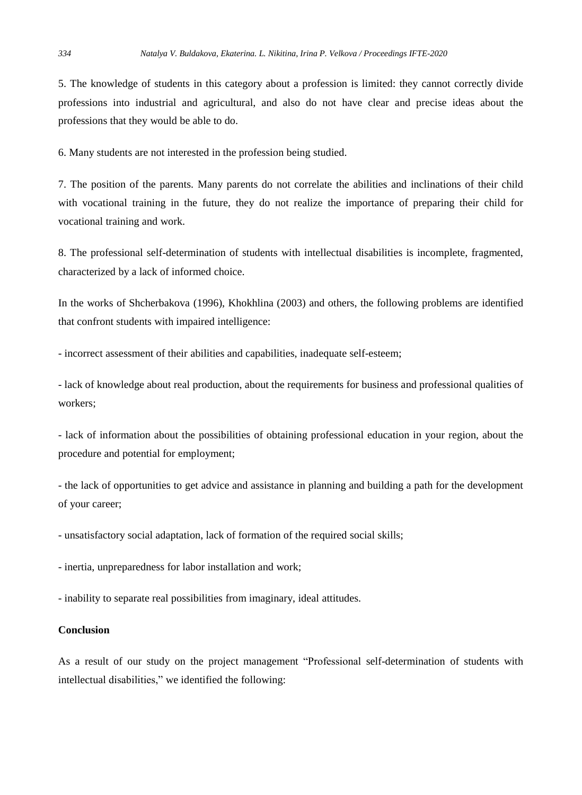5. The knowledge of students in this category about a profession is limited: they cannot correctly divide professions into industrial and agricultural, and also do not have clear and precise ideas about the professions that they would be able to do.

6. Many students are not interested in the profession being studied.

7. The position of the parents. Many parents do not correlate the abilities and inclinations of their child with vocational training in the future, they do not realize the importance of preparing their child for vocational training and work.

8. The professional self-determination of students with intellectual disabilities is incomplete, fragmented, characterized by a lack of informed choice.

In the works of Shcherbakova (1996), Khokhlina (2003) and others, the following problems are identified that confront students with impaired intelligence:

- incorrect assessment of their abilities and capabilities, inadequate self-esteem;

- lack of knowledge about real production, about the requirements for business and professional qualities of workers;

- lack of information about the possibilities of obtaining professional education in your region, about the procedure and potential for employment;

- the lack of opportunities to get advice and assistance in planning and building a path for the development of your career;

- unsatisfactory social adaptation, lack of formation of the required social skills;

- inertia, unpreparedness for labor installation and work;

- inability to separate real possibilities from imaginary, ideal attitudes.

#### **Conclusion**

As a result of our study on the project management "Professional self-determination of students with intellectual disabilities," we identified the following: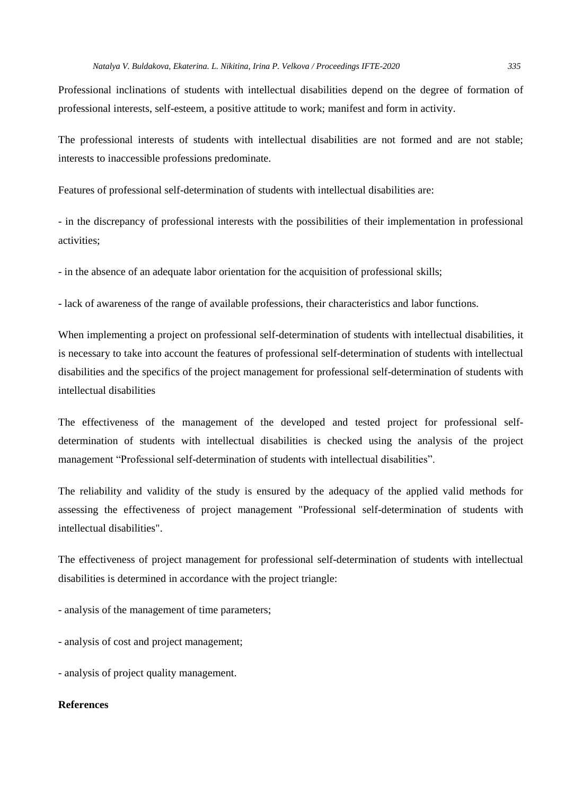Professional inclinations of students with intellectual disabilities depend on the degree of formation of professional interests, self-esteem, a positive attitude to work; manifest and form in activity.

The professional interests of students with intellectual disabilities are not formed and are not stable; interests to inaccessible professions predominate.

Features of professional self-determination of students with intellectual disabilities are:

- in the discrepancy of professional interests with the possibilities of their implementation in professional activities;

- in the absence of an adequate labor orientation for the acquisition of professional skills;

- lack of awareness of the range of available professions, their characteristics and labor functions.

When implementing a project on professional self-determination of students with intellectual disabilities, it is necessary to take into account the features of professional self-determination of students with intellectual disabilities and the specifics of the project management for professional self-determination of students with intellectual disabilities

The effectiveness of the management of the developed and tested project for professional selfdetermination of students with intellectual disabilities is checked using the analysis of the project management "Professional self-determination of students with intellectual disabilities".

The reliability and validity of the study is ensured by the adequacy of the applied valid methods for assessing the effectiveness of project management "Professional self-determination of students with intellectual disabilities".

The effectiveness of project management for professional self-determination of students with intellectual disabilities is determined in accordance with the project triangle:

- analysis of the management of time parameters;

- analysis of cost and project management;

- analysis of project quality management.

# **References**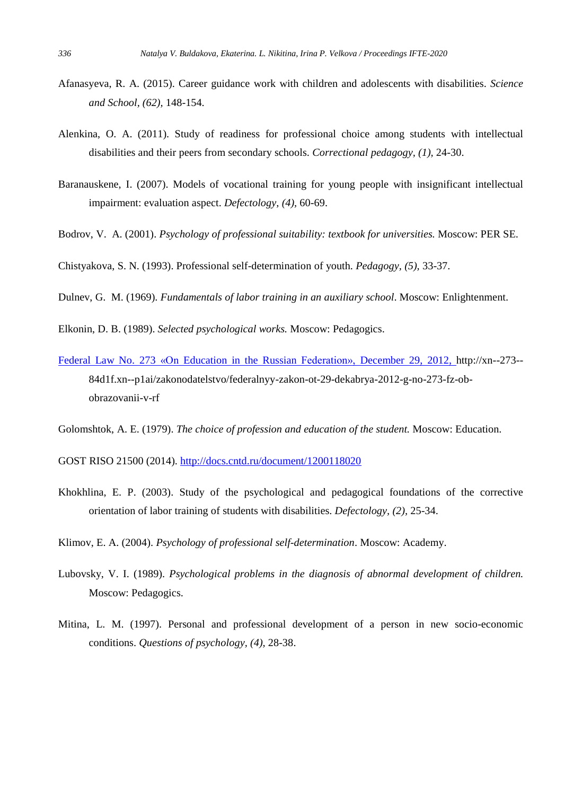- Afanasyeva, R. A. (2015). Career guidance work with children and adolescents with disabilities. *Science and School, (62),* 148-154.
- Alenkina, O. A. (2011). Study of readiness for professional choice among students with intellectual disabilities and their peers from secondary schools. *Correctional pedagogy, (1),* 24-30.
- Baranauskene, I. (2007). Models of vocational training for young people with insignificant intellectual impairment: evaluation aspect. *Defectology, (4),* 60-69.
- Bodrov, V. A. (2001). *Psychology of professional suitability: textbook for universities.* Moscow: PER SE.
- Chistyakova, S. N. (1993). Professional self-determination of youth. *Pedagogy, (5),* 33-37.
- Dulnev, G. M. (1969). *Fundamentals of labor training in an auxiliary school*. Moscow: Enlightenment.
- Elkonin, D. B. (1989). *Selected psychological works.* Moscow: Pedagogics.
- Federal Law No. 273 «On Education in the Russian Federation», December 29, 2012, http://xn--273-- 84d1f.xn--p1ai/zakonodatelstvo/federalnyy-zakon-ot-29-dekabrya-2012-g-no-273-fz-obobrazovanii-v-rf
- Golomshtok, A. E. (1979). *The choice of profession and education of the student.* Moscow: Education.
- GOST RISO 21500 (2014). <http://docs.cntd.ru/document/1200118020>
- Khokhlina, E. P. (2003). Study of the psychological and pedagogical foundations of the corrective orientation of labor training of students with disabilities. *Defectology, (2),* 25-34.
- Klimov, E. A. (2004). *Psychology of professional self-determination*. Moscow: Academy.
- Lubovsky, V. I. (1989). *Psychological problems in the diagnosis of abnormal development of children.* Moscow: Pedagogics.
- Mitina, L. M. (1997). Personal and professional development of a person in new socio-economic conditions. *Questions of psychology, (4),* 28-38.